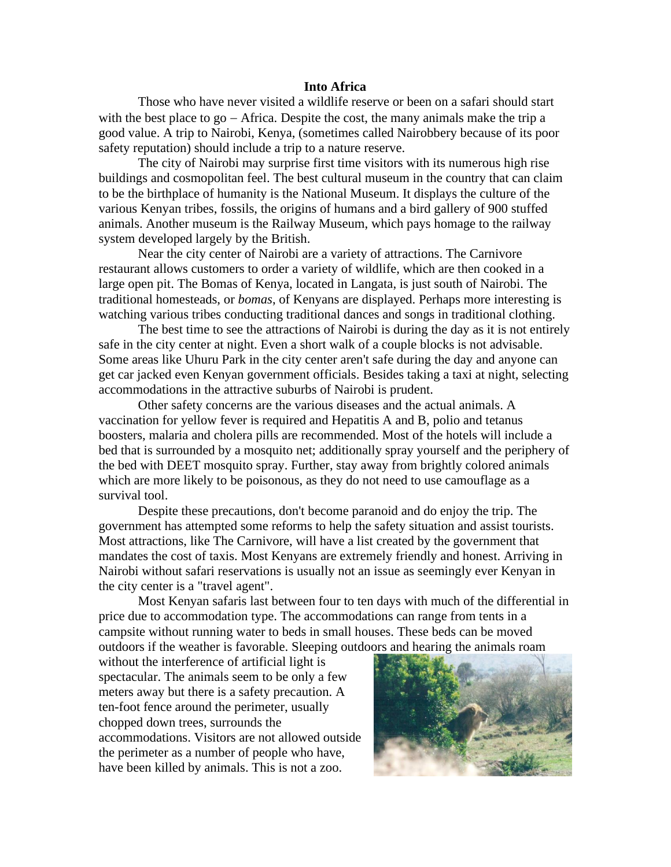## **Into Africa**

Those who have never visited a wildlife reserve or been on a safari should start with the best place to go − Africa. Despite the cost, the many animals make the trip a good value. A trip to Nairobi, Kenya, (sometimes called Nairobbery because of its poor safety reputation) should include a trip to a nature reserve.

The city of Nairobi may surprise first time visitors with its numerous high rise buildings and cosmopolitan feel. The best cultural museum in the country that can claim to be the birthplace of humanity is the National Museum. It displays the culture of the various Kenyan tribes, fossils, the origins of humans and a bird gallery of 900 stuffed animals. Another museum is the Railway Museum, which pays homage to the railway system developed largely by the British.

Near the city center of Nairobi are a variety of attractions. The Carnivore restaurant allows customers to order a variety of wildlife, which are then cooked in a large open pit. The Bomas of Kenya, located in Langata, is just south of Nairobi. The traditional homesteads, or *bomas*, of Kenyans are displayed. Perhaps more interesting is watching various tribes conducting traditional dances and songs in traditional clothing.

The best time to see the attractions of Nairobi is during the day as it is not entirely safe in the city center at night. Even a short walk of a couple blocks is not advisable. Some areas like Uhuru Park in the city center aren't safe during the day and anyone can get car jacked even Kenyan government officials. Besides taking a taxi at night, selecting accommodations in the attractive suburbs of Nairobi is prudent.

Other safety concerns are the various diseases and the actual animals. A vaccination for yellow fever is required and Hepatitis A and B, polio and tetanus boosters, malaria and cholera pills are recommended. Most of the hotels will include a bed that is surrounded by a mosquito net; additionally spray yourself and the periphery of the bed with DEET mosquito spray. Further, stay away from brightly colored animals which are more likely to be poisonous, as they do not need to use camouflage as a survival tool.

Despite these precautions, don't become paranoid and do enjoy the trip. The government has attempted some reforms to help the safety situation and assist tourists. Most attractions, like The Carnivore, will have a list created by the government that mandates the cost of taxis. Most Kenyans are extremely friendly and honest. Arriving in Nairobi without safari reservations is usually not an issue as seemingly ever Kenyan in the city center is a "travel agent".

Most Kenyan safaris last between four to ten days with much of the differential in price due to accommodation type. The accommodations can range from tents in a campsite without running water to beds in small houses. These beds can be moved outdoors if the weather is favorable. Sleeping outdoors and hearing the animals roam

without the interference of artificial light is spectacular. The animals seem to be only a few meters away but there is a safety precaution. A ten-foot fence around the perimeter, usually chopped down trees, surrounds the accommodations. Visitors are not allowed outside the perimeter as a number of people who have, have been killed by animals. This is not a zoo.

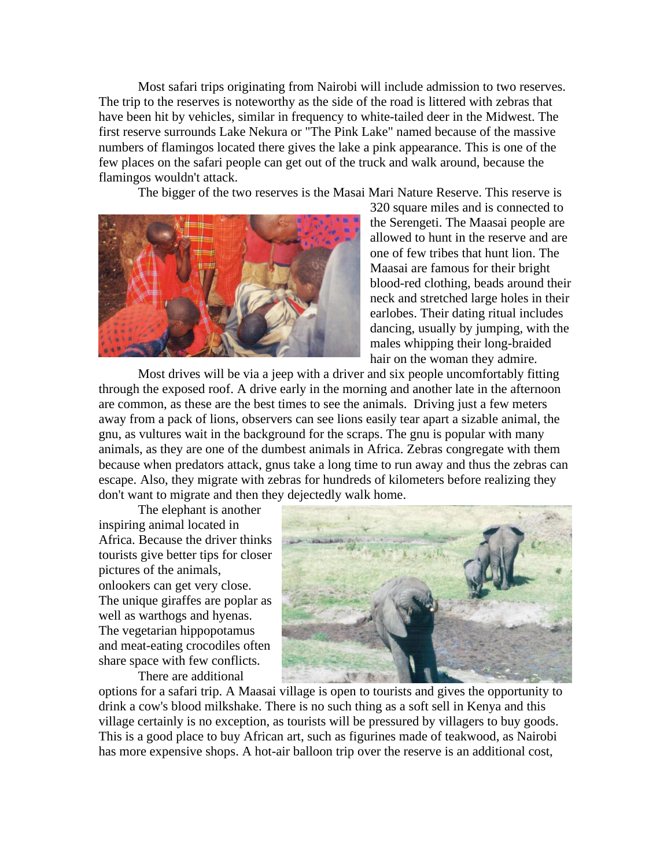Most safari trips originating from Nairobi will include admission to two reserves. The trip to the reserves is noteworthy as the side of the road is littered with zebras that have been hit by vehicles, similar in frequency to white-tailed deer in the Midwest. The first reserve surrounds Lake Nekura or "The Pink Lake" named because of the massive numbers of flamingos located there gives the lake a pink appearance. This is one of the few places on the safari people can get out of the truck and walk around, because the flamingos wouldn't attack.

The bigger of the two reserves is the Masai Mari Nature Reserve. This reserve is



320 square miles and is connected to the Serengeti. The Maasai people are allowed to hunt in the reserve and are one of few tribes that hunt lion. The Maasai are famous for their bright blood-red clothing, beads around their neck and stretched large holes in their earlobes. Their dating ritual includes dancing, usually by jumping, with the males whipping their long-braided hair on the woman they admire.

Most drives will be via a jeep with a driver and six people uncomfortably fitting through the exposed roof. A drive early in the morning and another late in the afternoon are common, as these are the best times to see the animals. Driving just a few meters away from a pack of lions, observers can see lions easily tear apart a sizable animal, the gnu, as vultures wait in the background for the scraps. The gnu is popular with many animals, as they are one of the dumbest animals in Africa. Zebras congregate with them because when predators attack, gnus take a long time to run away and thus the zebras can escape. Also, they migrate with zebras for hundreds of kilometers before realizing they don't want to migrate and then they dejectedly walk home.

The elephant is another inspiring animal located in Africa. Because the driver thinks tourists give better tips for closer pictures of the animals, onlookers can get very close. The unique giraffes are poplar as well as warthogs and hyenas. The vegetarian hippopotamus and meat-eating crocodiles often share space with few conflicts.

There are additional



options for a safari trip. A Maasai village is open to tourists and gives the opportunity to drink a cow's blood milkshake. There is no such thing as a soft sell in Kenya and this village certainly is no exception, as tourists will be pressured by villagers to buy goods. This is a good place to buy African art, such as figurines made of teakwood, as Nairobi has more expensive shops. A hot-air balloon trip over the reserve is an additional cost,